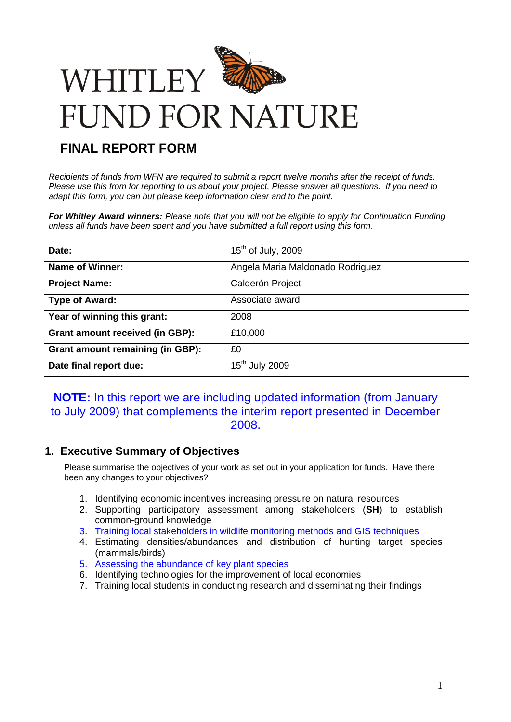

# **FINAL REPORT FORM**

*Recipients of funds from WFN are required to submit a report twelve months after the receipt of funds. Please use this from for reporting to us about your project. Please answer all questions. If you need to adapt this form, you can but please keep information clear and to the point.*

*For Whitley Award winners: Please note that you will not be eligible to apply for Continuation Funding unless all funds have been spent and you have submitted a full report using this form.*

| Date:                                   | $15th$ of July, 2009             |
|-----------------------------------------|----------------------------------|
| <b>Name of Winner:</b>                  | Angela Maria Maldonado Rodriguez |
| <b>Project Name:</b>                    | Calderón Project                 |
| <b>Type of Award:</b>                   | Associate award                  |
| Year of winning this grant:             | 2008                             |
| <b>Grant amount received (in GBP):</b>  | £10,000                          |
| <b>Grant amount remaining (in GBP):</b> | £0                               |
| Date final report due:                  | $15th$ July 2009                 |

# **NOTE:** In this report we are including updated information (from January to July 2009) that complements the interim report presented in December 2008.

# **1. Executive Summary of Objectives**

Please summarise the objectives of your work as set out in your application for funds. Have there been any changes to your objectives?

- 1. Identifying economic incentives increasing pressure on natural resources
- 2. Supporting participatory assessment among stakeholders (**SH**) to establish common-ground knowledge
- 3. Training local stakeholders in wildlife monitoring methods and GIS techniques
- 4. Estimating densities/abundances and distribution of hunting target species (mammals/birds)
- 5. Assessing the abundance of key plant species
- 6. Identifying technologies for the improvement of local economies
- 7. Training local students in conducting research and disseminating their findings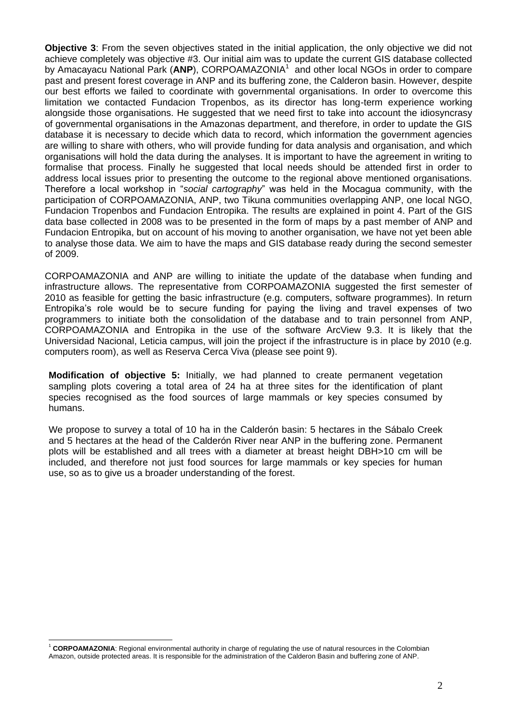**Objective 3**: From the seven objectives stated in the initial application, the only objective we did not achieve completely was objective #3. Our initial aim was to update the current GIS database collected by Amacayacu National Park (ANP), CORPOAMAZONIA<sup>1</sup> and other local NGOs in order to compare past and present forest coverage in ANP and its buffering zone, the Calderon basin. However, despite our best efforts we failed to coordinate with governmental organisations. In order to overcome this limitation we contacted Fundacion Tropenbos, as its director has long-term experience working alongside those organisations. He suggested that we need first to take into account the idiosyncrasy of governmental organisations in the Amazonas department, and therefore, in order to update the GIS database it is necessary to decide which data to record, which information the government agencies are willing to share with others, who will provide funding for data analysis and organisation, and which organisations will hold the data during the analyses. It is important to have the agreement in writing to formalise that process. Finally he suggested that local needs should be attended first in order to address local issues prior to presenting the outcome to the regional above mentioned organisations. Therefore a local workshop in "*social cartography*" was held in the Mocagua community, with the participation of CORPOAMAZONIA, ANP, two Tikuna communities overlapping ANP, one local NGO, Fundacion Tropenbos and Fundacion Entropika. The results are explained in point 4. Part of the GIS data base collected in 2008 was to be presented in the form of maps by a past member of ANP and Fundacion Entropika, but on account of his moving to another organisation, we have not yet been able to analyse those data. We aim to have the maps and GIS database ready during the second semester of 2009.

CORPOAMAZONIA and ANP are willing to initiate the update of the database when funding and infrastructure allows. The representative from CORPOAMAZONIA suggested the first semester of 2010 as feasible for getting the basic infrastructure (e.g. computers, software programmes). In return Entropika's role would be to secure funding for paying the living and travel expenses of two programmers to initiate both the consolidation of the database and to train personnel from ANP, CORPOAMAZONIA and Entropika in the use of the software ArcView 9.3. It is likely that the Universidad Nacional, Leticia campus, will join the project if the infrastructure is in place by 2010 (e.g. computers room), as well as Reserva Cerca Viva (please see point 9).

**Modification of objective 5:** Initially, we had planned to create permanent vegetation sampling plots covering a total area of 24 ha at three sites for the identification of plant species recognised as the food sources of large mammals or key species consumed by humans.

We propose to survey a total of 10 ha in the Calderón basin: 5 hectares in the Sábalo Creek and 5 hectares at the head of the Calderón River near ANP in the buffering zone. Permanent plots will be established and all trees with a diameter at breast height DBH>10 cm will be included, and therefore not just food sources for large mammals or key species for human use, so as to give us a broader understanding of the forest.

 $\overline{a}$ <sup>1</sup> **CORPOAMAZONIA**: Regional environmental authority in charge of regulating the use of natural resources in the Colombian Amazon, outside protected areas. It is responsible for the administration of the Calderon Basin and buffering zone of ANP.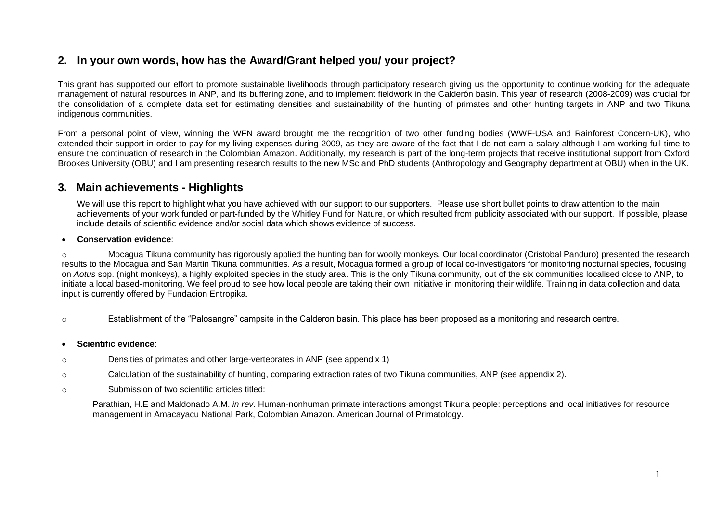# **2. In your own words, how has the Award/Grant helped you/ your project?**

This grant has supported our effort to promote sustainable livelihoods through participatory research giving us the opportunity to continue working for the adequate management of natural resources in ANP, and its buffering zone, and to implement fieldwork in the Calderón basin. This year of research (2008-2009) was crucial for the consolidation of a complete data set for estimating densities and sustainability of the hunting of primates and other hunting targets in ANP and two Tikuna indigenous communities.

From a personal point of view, winning the WFN award brought me the recognition of two other funding bodies (WWF-USA and Rainforest Concern-UK), who extended their support in order to pay for my living expenses during 2009, as they are aware of the fact that I do not earn a salary although I am working full time to ensure the continuation of research in the Colombian Amazon. Additionally, my research is part of the long-term projects that receive institutional support from Oxford Brookes University (OBU) and I am presenting research results to the new MSc and PhD students (Anthropology and Geography department at OBU) when in the UK.

# **3. Main achievements - Highlights**

We will use this report to highlight what you have achieved with our support to our supporters. Please use short bullet points to draw attention to the main achievements of your work funded or part-funded by the Whitley Fund for Nature, or which resulted from publicity associated with our support. If possible, please include details of scientific evidence and/or social data which shows evidence of success.

#### **Conservation evidence**:

Mocagua Tikuna community has rigorously applied the hunting ban for woolly monkeys. Our local coordinator (Cristobal Panduro) presented the research results to the Mocagua and San Martin Tikuna communities. As a result, Mocagua formed a group of local co-investigators for monitoring nocturnal species, focusing on *Aotus* spp. (night monkeys), a highly exploited species in the study area. This is the only Tikuna community, out of the six communities localised close to ANP, to initiate a local based-monitoring. We feel proud to see how local people are taking their own initiative in monitoring their wildlife. Training in data collection and data input is currently offered by Fundacion Entropika.

o Establishment of the "Palosangre" campsite in the Calderon basin. This place has been proposed as a monitoring and research centre.

#### **Scientific evidence**:

- o Densities of primates and other large-vertebrates in ANP (see appendix 1)
- o Calculation of the sustainability of hunting, comparing extraction rates of two Tikuna communities, ANP (see appendix 2).
- o Submission of two scientific articles titled:

Parathian, H.E and Maldonado A.M. *in rev*. Human-nonhuman primate interactions amongst Tikuna people: perceptions and local initiatives for resource management in Amacayacu National Park, Colombian Amazon. American Journal of Primatology.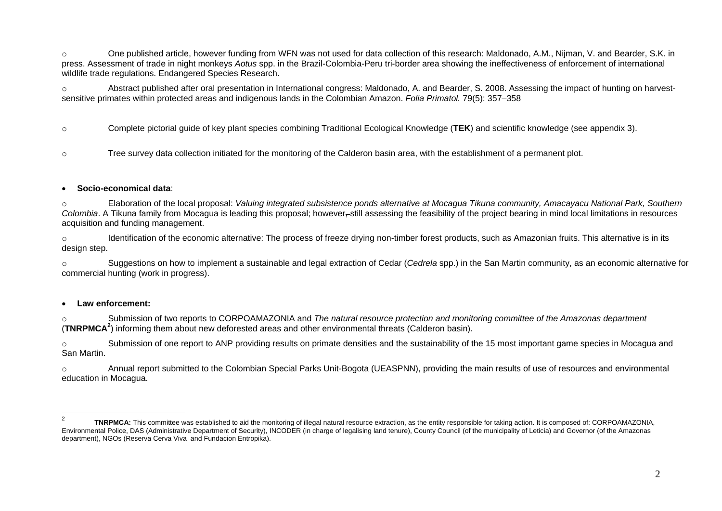o One published article, however funding from WFN was not used for data collection of this research: Maldonado, A.M., Nijman, V. and Bearder, S.K. in press. Assessment of trade in night monkeys *Aotus* spp. in the Brazil-Colombia-Peru tri-border area showing the ineffectiveness of enforcement of international wildlife trade regulations. Endangered Species Research.

o Abstract published after oral presentation in International congress: Maldonado, A. and Bearder, S. 2008. Assessing the impact of hunting on harvestsensitive primates within protected areas and indigenous lands in the Colombian Amazon. *Folia Primatol.* 79(5): 357–358

o Complete pictorial guide of key plant species combining Traditional Ecological Knowledge (**TEK**) and scientific knowledge (see appendix 3).

o Tree survey data collection initiated for the monitoring of the Calderon basin area, with the establishment of a permanent plot.

#### **Socio-economical data**:

o Elaboration of the local proposal: *Valuing integrated subsistence ponds alternative at Mocagua Tikuna community, Amacayacu National Park, Southern Colombia*. A Tikuna family from Mocagua is leading this proposal; however, still assessing the feasibility of the project bearing in mind local limitations in resources acquisition and funding management.

o Identification of the economic alternative: The process of freeze drying non-timber forest products, such as Amazonian fruits. This alternative is in its design step.

o Suggestions on how to implement a sustainable and legal extraction of Cedar (*Cedrela* spp.) in the San Martin community, as an economic alternative for commercial hunting (work in progress).

#### **Law enforcement:**

o Submission of two reports to CORPOAMAZONIA and *The natural resource protection and monitoring committee of the Amazonas department*  (**TNRPMCA<sup>2</sup>** ) informing them about new deforested areas and other environmental threats (Calderon basin).

o Submission of one report to ANP providing results on primate densities and the sustainability of the 15 most important game species in Mocagua and San Martin.

o Annual report submitted to the Colombian Special Parks Unit-Bogota (UEASPNN), providing the main results of use of resources and environmental education in Mocagua.

 $\frac{1}{2}$ **TNRPMCA:** This committee was established to aid the monitoring of illegal natural resource extraction, as the entity responsible for taking action. It is composed of: CORPOAMAZONIA, Environmental Police, DAS (Administrative Department of Security), INCODER (in charge of legalising land tenure), County Council (of the municipality of Leticia) and Governor (of the Amazonas department), NGOs (Reserva Cerva Viva and Fundacion Entropika).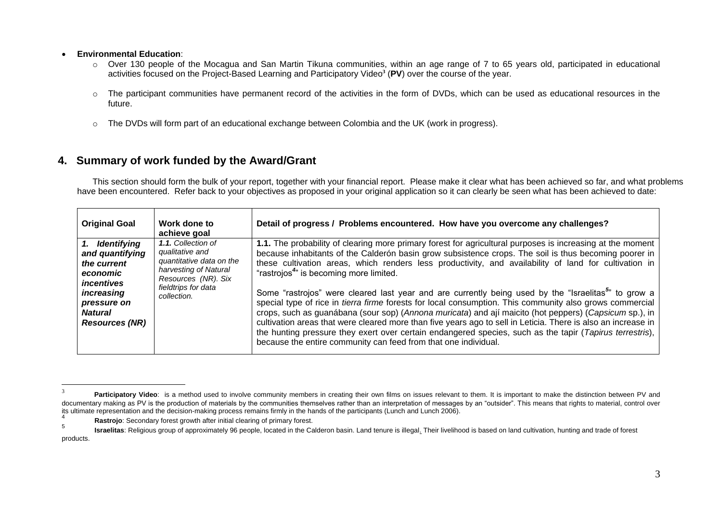#### **Environmental Education**:

<u>.</u>

- o Over 130 people of the Mocagua and San Martin Tikuna communities, within an age range of 7 to 65 years old, participated in educational activities focused on the Project-Based Learning and Participatory Video**<sup>3</sup>** (**PV**) over the course of the year.
- o The participant communities have permanent record of the activities in the form of DVDs, which can be used as educational resources in the future.
- o The DVDs will form part of an educational exchange between Colombia and the UK (work in progress).

# **4. Summary of work funded by the Award/Grant**

This section should form the bulk of your report, together with your financial report. Please make it clear what has been achieved so far, and what problems have been encountered. Refer back to your objectives as proposed in your original application so it can clearly be seen what has been achieved to date:

| <b>Original Goal</b>                                                                                                                               | Work done to<br>achieve goal                                                                                                                            | Detail of progress / Problems encountered. How have you overcome any challenges?                                                                                                                                                                                                                                                                                                                                                                                                                                                                                                                                                                                                                                                                                                                                                                                                                                                                                                                                       |
|----------------------------------------------------------------------------------------------------------------------------------------------------|---------------------------------------------------------------------------------------------------------------------------------------------------------|------------------------------------------------------------------------------------------------------------------------------------------------------------------------------------------------------------------------------------------------------------------------------------------------------------------------------------------------------------------------------------------------------------------------------------------------------------------------------------------------------------------------------------------------------------------------------------------------------------------------------------------------------------------------------------------------------------------------------------------------------------------------------------------------------------------------------------------------------------------------------------------------------------------------------------------------------------------------------------------------------------------------|
| 1. Identifying<br>and quantifying<br>the current<br>economic<br>incentives<br>increasing<br>pressure on<br><b>Natural</b><br><b>Resources (NR)</b> | 1.1. Collection of<br>qualitative and<br>quantitative data on the<br>harvesting of Natural<br>Resources (NR). Six<br>fieldtrips for data<br>collection. | 1.1. The probability of clearing more primary forest for agricultural purposes is increasing at the moment<br>because inhabitants of the Calderón basin grow subsistence crops. The soil is thus becoming poorer in<br>these cultivation areas, which renders less productivity, and availability of land for cultivation in<br>"rastrojos <sup>4</sup> " is becoming more limited.<br>Some "rastrojos" were cleared last year and are currently being used by the "Israelitas" to grow a<br>special type of rice in <i>tierra firme</i> forests for local consumption. This community also grows commercial<br>crops, such as guanábana (sour sop) (Annona muricata) and ají maicito (hot peppers) (Capsicum sp.), in<br>cultivation areas that were cleared more than five years ago to sell in Leticia. There is also an increase in<br>the hunting pressure they exert over certain endangered species, such as the tapir (Tapirus terrestris),<br>because the entire community can feed from that one individual. |

<sup>3</sup> Participatory Video: is a method used to involve community members in creating their own films on issues relevant to them. It is important to make the distinction between PV and documentary making as PV is the production of materials by the communities themselves rather than an interpretation of messages by an "outsider". This means that rights to material, control over its ultimate representation and the decision-making process remains firmly in the hands of the participants (Lunch and Lunch 2006). 4

**Rastrojo**: Secondary forest growth after initial clearing of primary forest.

<sup>5</sup> **Israelitas**: Religious group of approximately 96 people, located in the Calderon basin. Land tenure is illegal. Their livelihood is based on land cultivation, hunting and trade of forest products.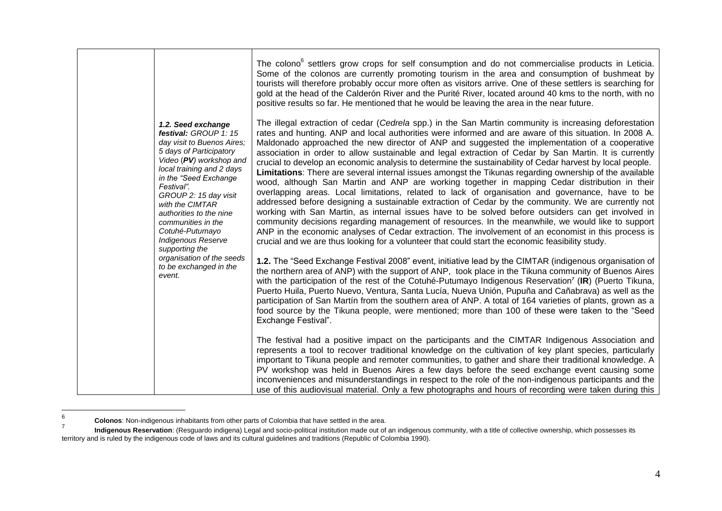|                                                                                 |                                                                                                                                                                                                                                                                                                                                                                                                                                                                                                                                                                                                                                                                                       |                                                                                                                                                                                                                                                                                                                                                                                                                                                                                                                                                                                                                                                                                                                                                                                                                                                                                                                                                                                                                                                                                                                                                                                                                                                                                                                                                                                         | The colono <sup>6</sup> settlers grow crops for self consumption and do not commercialise products in Leticia.<br>Some of the colonos are currently promoting tourism in the area and consumption of bushmeat by<br>tourists will therefore probably occur more often as visitors arrive. One of these settlers is searching for<br>gold at the head of the Calderón River and the Purité River, located around 40 kms to the north, with no<br>positive results so far. He mentioned that he would be leaving the area in the near future.                                                                                               |
|---------------------------------------------------------------------------------|---------------------------------------------------------------------------------------------------------------------------------------------------------------------------------------------------------------------------------------------------------------------------------------------------------------------------------------------------------------------------------------------------------------------------------------------------------------------------------------------------------------------------------------------------------------------------------------------------------------------------------------------------------------------------------------|-----------------------------------------------------------------------------------------------------------------------------------------------------------------------------------------------------------------------------------------------------------------------------------------------------------------------------------------------------------------------------------------------------------------------------------------------------------------------------------------------------------------------------------------------------------------------------------------------------------------------------------------------------------------------------------------------------------------------------------------------------------------------------------------------------------------------------------------------------------------------------------------------------------------------------------------------------------------------------------------------------------------------------------------------------------------------------------------------------------------------------------------------------------------------------------------------------------------------------------------------------------------------------------------------------------------------------------------------------------------------------------------|-------------------------------------------------------------------------------------------------------------------------------------------------------------------------------------------------------------------------------------------------------------------------------------------------------------------------------------------------------------------------------------------------------------------------------------------------------------------------------------------------------------------------------------------------------------------------------------------------------------------------------------------|
|                                                                                 | 1.2. Seed exchange<br>festival: GROUP 1: 15<br>day visit to Buenos Aires;<br>5 days of Participatory<br>Video (PV) workshop and<br>local training and 2 days<br>in the "Seed Exchange<br>Festival".<br>GROUP 2: 15 day visit<br>with the CIMTAR<br>authorities to the nine<br>communities in the<br>Cotuhé-Putumayo<br><b>Indigenous Reserve</b>                                                                                                                                                                                                                                                                                                                                      | The illegal extraction of cedar (Cedrela spp.) in the San Martin community is increasing deforestation<br>rates and hunting. ANP and local authorities were informed and are aware of this situation. In 2008 A.<br>Maldonado approached the new director of ANP and suggested the implementation of a cooperative<br>association in order to allow sustainable and legal extraction of Cedar by San Martin. It is currently<br>crucial to develop an economic analysis to determine the sustainability of Cedar harvest by local people.<br>Limitations: There are several internal issues amongst the Tikunas regarding ownership of the available<br>wood, although San Martin and ANP are working together in mapping Cedar distribution in their<br>overlapping areas. Local limitations, related to lack of organisation and governance, have to be<br>addressed before designing a sustainable extraction of Cedar by the community. We are currently not<br>working with San Martin, as internal issues have to be solved before outsiders can get involved in<br>community decisions regarding management of resources. In the meanwhile, we would like to support<br>ANP in the economic analyses of Cedar extraction. The involvement of an economist in this process is<br>crucial and we are thus looking for a volunteer that could start the economic feasibility study. |                                                                                                                                                                                                                                                                                                                                                                                                                                                                                                                                                                                                                                           |
| supporting the<br>organisation of the seeds<br>to be exchanged in the<br>event. | 1.2. The "Seed Exchange Festival 2008" event, initiative lead by the CIMTAR (indigenous organisation of<br>the northern area of ANP) with the support of ANP, took place in the Tikuna community of Buenos Aires<br>with the participation of the rest of the Cotuhé-Putumayo Indigenous Reservation <sup>7</sup> (IR) (Puerto Tikuna,<br>Puerto Huila, Puerto Nuevo, Ventura, Santa Lucía, Nueva Unión, Pupuña and Cañabrava) as well as the<br>participation of San Martín from the southern area of ANP. A total of 164 varieties of plants, grown as a<br>food source by the Tikuna people, were mentioned; more than 100 of these were taken to the "Seed<br>Exchange Festival". |                                                                                                                                                                                                                                                                                                                                                                                                                                                                                                                                                                                                                                                                                                                                                                                                                                                                                                                                                                                                                                                                                                                                                                                                                                                                                                                                                                                         |                                                                                                                                                                                                                                                                                                                                                                                                                                                                                                                                                                                                                                           |
|                                                                                 |                                                                                                                                                                                                                                                                                                                                                                                                                                                                                                                                                                                                                                                                                       |                                                                                                                                                                                                                                                                                                                                                                                                                                                                                                                                                                                                                                                                                                                                                                                                                                                                                                                                                                                                                                                                                                                                                                                                                                                                                                                                                                                         | The festival had a positive impact on the participants and the CIMTAR Indigenous Association and<br>represents a tool to recover traditional knowledge on the cultivation of key plant species, particularly<br>important to Tikuna people and remoter communities, to gather and share their traditional knowledge. A<br>PV workshop was held in Buenos Aires a few days before the seed exchange event causing some<br>inconveniences and misunderstandings in respect to the role of the non-indigenous participants and the<br>use of this audiovisual material. Only a few photographs and hours of recording were taken during this |

<sup>–&</sup>lt;br>6 **Colonos**: Non-indigenous inhabitants from other parts of Colombia that have settled in the area.

<sup>7</sup> **Indigenous Reservation**: (Resguardo indigena) Legal and socio-political institution made out of an indigenous community, with a title of collective ownership, which possesses its territory and is ruled by the indigenous code of laws and its cultural guidelines and traditions (Republic of Colombia 1990).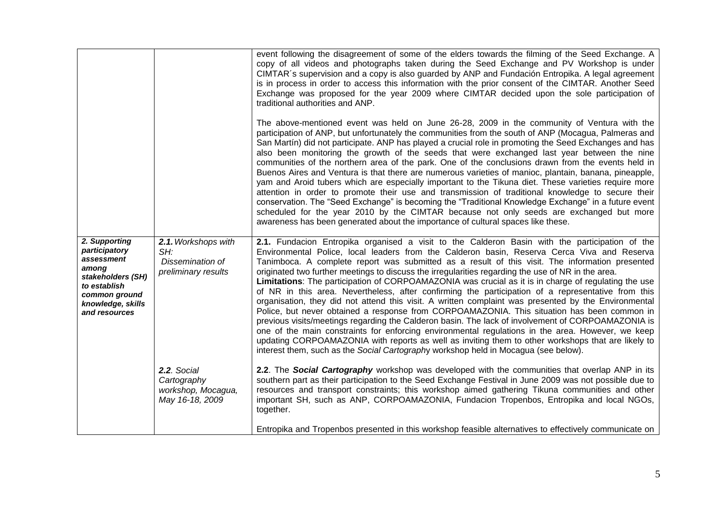|                                                                                                                                                   |                                                                       | event following the disagreement of some of the elders towards the filming of the Seed Exchange. A<br>copy of all videos and photographs taken during the Seed Exchange and PV Workshop is under<br>CIMTAR's supervision and a copy is also guarded by ANP and Fundación Entropika. A legal agreement<br>is in process in order to access this information with the prior consent of the CIMTAR. Another Seed<br>Exchange was proposed for the year 2009 where CIMTAR decided upon the sole participation of<br>traditional authorities and ANP.<br>The above-mentioned event was held on June 26-28, 2009 in the community of Ventura with the<br>participation of ANP, but unfortunately the communities from the south of ANP (Mocagua, Palmeras and<br>San Martín) did not participate. ANP has played a crucial role in promoting the Seed Exchanges and has<br>also been monitoring the growth of the seeds that were exchanged last year between the nine<br>communities of the northern area of the park. One of the conclusions drawn from the events held in<br>Buenos Aires and Ventura is that there are numerous varieties of manioc, plantain, banana, pineapple,<br>yam and Aroid tubers which are especially important to the Tikuna diet. These varieties require more<br>attention in order to promote their use and transmission of traditional knowledge to secure their<br>conservation. The "Seed Exchange" is becoming the "Traditional Knowledge Exchange" in a future event<br>scheduled for the year 2010 by the CIMTAR because not only seeds are exchanged but more<br>awareness has been generated about the importance of cultural spaces like these. |
|---------------------------------------------------------------------------------------------------------------------------------------------------|-----------------------------------------------------------------------|-------------------------------------------------------------------------------------------------------------------------------------------------------------------------------------------------------------------------------------------------------------------------------------------------------------------------------------------------------------------------------------------------------------------------------------------------------------------------------------------------------------------------------------------------------------------------------------------------------------------------------------------------------------------------------------------------------------------------------------------------------------------------------------------------------------------------------------------------------------------------------------------------------------------------------------------------------------------------------------------------------------------------------------------------------------------------------------------------------------------------------------------------------------------------------------------------------------------------------------------------------------------------------------------------------------------------------------------------------------------------------------------------------------------------------------------------------------------------------------------------------------------------------------------------------------------------------------------------------------------------------------------------------------------------------------|
| 2. Supporting<br>participatory<br>assessment<br>among<br>stakeholders (SH)<br>to establish<br>common ground<br>knowledge, skills<br>and resources | 2.1. Workshops with<br>SH:<br>Dissemination of<br>preliminary results | 2.1. Fundacion Entropika organised a visit to the Calderon Basin with the participation of the<br>Environmental Police, local leaders from the Calderon basin, Reserva Cerca Viva and Reserva<br>Tanimboca. A complete report was submitted as a result of this visit. The information presented<br>originated two further meetings to discuss the irregularities regarding the use of NR in the area.<br>Limitations: The participation of CORPOAMAZONIA was crucial as it is in charge of regulating the use<br>of NR in this area. Nevertheless, after confirming the participation of a representative from this<br>organisation, they did not attend this visit. A written complaint was presented by the Environmental<br>Police, but never obtained a response from CORPOAMAZONIA. This situation has been common in<br>previous visits/meetings regarding the Calderon basin. The lack of involvement of CORPOAMAZONIA is<br>one of the main constraints for enforcing environmental regulations in the area. However, we keep<br>updating CORPOAMAZONIA with reports as well as inviting them to other workshops that are likely to<br>interest them, such as the Social Cartography workshop held in Mocagua (see below).                                                                                                                                                                                                                                                                                                                                                                                                                                                 |
|                                                                                                                                                   | 2.2. Social<br>Cartography<br>workshop, Mocagua,<br>May 16-18, 2009   | 2.2. The Social Cartography workshop was developed with the communities that overlap ANP in its<br>southern part as their participation to the Seed Exchange Festival in June 2009 was not possible due to<br>resources and transport constraints; this workshop aimed gathering Tikuna communities and other<br>important SH, such as ANP, CORPOAMAZONIA, Fundacion Tropenbos, Entropika and local NGOs,<br>together.<br>Entropika and Tropenbos presented in this workshop feasible alternatives to effectively communicate on                                                                                                                                                                                                                                                                                                                                                                                                                                                                                                                                                                                                                                                                                                                                                                                                                                                                                                                                                                                                                                                                                                                                                    |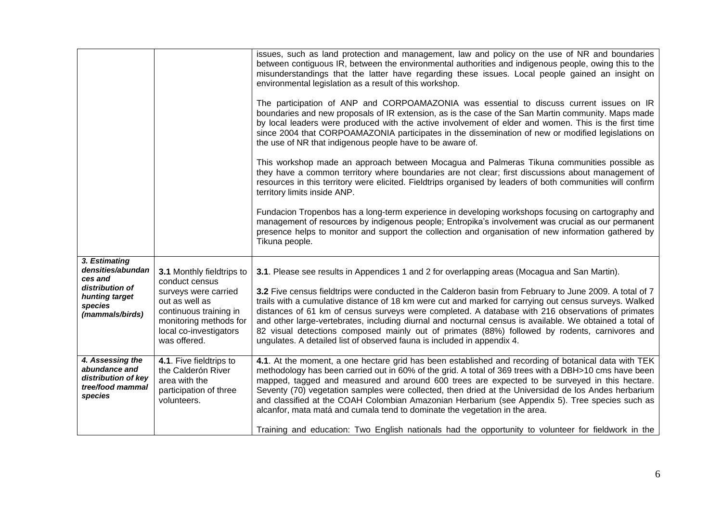|                                                                                                                  |                                                                                                                                                                                     | issues, such as land protection and management, law and policy on the use of NR and boundaries<br>between contiguous IR, between the environmental authorities and indigenous people, owing this to the<br>misunderstandings that the latter have regarding these issues. Local people gained an insight on<br>environmental legislation as a result of this workshop.<br>The participation of ANP and CORPOAMAZONIA was essential to discuss current issues on IR<br>boundaries and new proposals of IR extension, as is the case of the San Martin community. Maps made                                                                                                                                         |
|------------------------------------------------------------------------------------------------------------------|-------------------------------------------------------------------------------------------------------------------------------------------------------------------------------------|-------------------------------------------------------------------------------------------------------------------------------------------------------------------------------------------------------------------------------------------------------------------------------------------------------------------------------------------------------------------------------------------------------------------------------------------------------------------------------------------------------------------------------------------------------------------------------------------------------------------------------------------------------------------------------------------------------------------|
|                                                                                                                  |                                                                                                                                                                                     | by local leaders were produced with the active involvement of elder and women. This is the first time<br>since 2004 that CORPOAMAZONIA participates in the dissemination of new or modified legislations on<br>the use of NR that indigenous people have to be aware of.                                                                                                                                                                                                                                                                                                                                                                                                                                          |
|                                                                                                                  |                                                                                                                                                                                     | This workshop made an approach between Mocagua and Palmeras Tikuna communities possible as<br>they have a common territory where boundaries are not clear; first discussions about management of<br>resources in this territory were elicited. Fieldtrips organised by leaders of both communities will confirm<br>territory limits inside ANP.                                                                                                                                                                                                                                                                                                                                                                   |
|                                                                                                                  |                                                                                                                                                                                     | Fundacion Tropenbos has a long-term experience in developing workshops focusing on cartography and<br>management of resources by indigenous people; Entropika's involvement was crucial as our permanent<br>presence helps to monitor and support the collection and organisation of new information gathered by<br>Tikuna people.                                                                                                                                                                                                                                                                                                                                                                                |
| 3. Estimating<br>densities/abundan<br>ces and<br>distribution of<br>hunting target<br>species<br>(mammals/birds) | 3.1 Monthly fieldtrips to<br>conduct census<br>surveys were carried<br>out as well as<br>continuous training in<br>monitoring methods for<br>local co-investigators<br>was offered. | 3.1. Please see results in Appendices 1 and 2 for overlapping areas (Mocagua and San Martin).<br>3.2 Five census fieldtrips were conducted in the Calderon basin from February to June 2009. A total of 7<br>trails with a cumulative distance of 18 km were cut and marked for carrying out census surveys. Walked<br>distances of 61 km of census surveys were completed. A database with 216 observations of primates<br>and other large-vertebrates, including diurnal and nocturnal census is available. We obtained a total of<br>82 visual detections composed mainly out of primates (88%) followed by rodents, carnivores and<br>ungulates. A detailed list of observed fauna is included in appendix 4. |
| 4. Assessing the<br>abundance and<br>distribution of key<br>tree/food mammal<br>species                          | 4.1. Five fieldtrips to<br>the Calderón River<br>area with the<br>participation of three<br>volunteers.                                                                             | 4.1. At the moment, a one hectare grid has been established and recording of botanical data with TEK<br>methodology has been carried out in 60% of the grid. A total of 369 trees with a DBH>10 cms have been<br>mapped, tagged and measured and around 600 trees are expected to be surveyed in this hectare.<br>Seventy (70) vegetation samples were collected, then dried at the Universidad de los Andes herbarium<br>and classified at the COAH Colombian Amazonian Herbarium (see Appendix 5). Tree species such as<br>alcanfor, mata matá and cumala tend to dominate the vegetation in the area.                                                                                                          |
|                                                                                                                  |                                                                                                                                                                                     | Training and education: Two English nationals had the opportunity to volunteer for fieldwork in the                                                                                                                                                                                                                                                                                                                                                                                                                                                                                                                                                                                                               |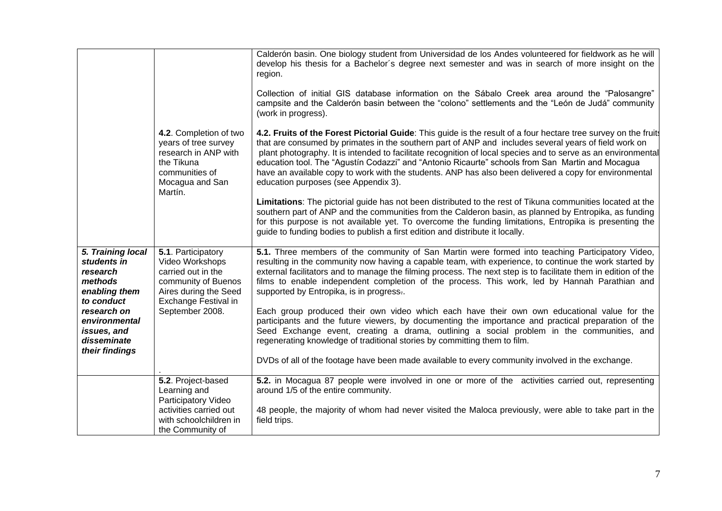|                                                                                                                                                                        | 4.2. Completion of two<br>years of tree survey<br>research in ANP with<br>the Tikuna<br>communities of<br>Mocagua and San<br>Martín.                   | Calderón basin. One biology student from Universidad de los Andes volunteered for fieldwork as he will<br>develop his thesis for a Bachelor's degree next semester and was in search of more insight on the<br>region.<br>Collection of initial GIS database information on the Sábalo Creek area around the "Palosangre"<br>campsite and the Calderón basin between the "colono" settlements and the "León de Judá" community<br>(work in progress).<br>4.2. Fruits of the Forest Pictorial Guide: This guide is the result of a four hectare tree survey on the fruit<br>that are consumed by primates in the southern part of ANP and includes several years of field work on<br>plant photography. It is intended to facilitate recognition of local species and to serve as an environmental<br>education tool. The "Agustín Codazzi" and "Antonio Ricaurte" schools from San Martin and Mocagua<br>have an available copy to work with the students. ANP has also been delivered a copy for environmental<br>education purposes (see Appendix 3).<br>Limitations: The pictorial guide has not been distributed to the rest of Tikuna communities located at the<br>southern part of ANP and the communities from the Calderon basin, as planned by Entropika, as funding<br>for this purpose is not available yet. To overcome the funding limitations, Entropika is presenting the<br>guide to funding bodies to publish a first edition and distribute it locally. |
|------------------------------------------------------------------------------------------------------------------------------------------------------------------------|--------------------------------------------------------------------------------------------------------------------------------------------------------|----------------------------------------------------------------------------------------------------------------------------------------------------------------------------------------------------------------------------------------------------------------------------------------------------------------------------------------------------------------------------------------------------------------------------------------------------------------------------------------------------------------------------------------------------------------------------------------------------------------------------------------------------------------------------------------------------------------------------------------------------------------------------------------------------------------------------------------------------------------------------------------------------------------------------------------------------------------------------------------------------------------------------------------------------------------------------------------------------------------------------------------------------------------------------------------------------------------------------------------------------------------------------------------------------------------------------------------------------------------------------------------------------------------------------------------------------------------------------|
| 5. Training local<br>students in<br>research<br>methods<br>enabling them<br>to conduct<br>research on<br>environmental<br>issues, and<br>disseminate<br>their findings | 5.1. Participatory<br>Video Workshops<br>carried out in the<br>community of Buenos<br>Aires during the Seed<br>Exchange Festival in<br>September 2008. | 5.1. Three members of the community of San Martin were formed into teaching Participatory Video,<br>resulting in the community now having a capable team, with experience, to continue the work started by<br>external facilitators and to manage the filming process. The next step is to facilitate them in edition of the<br>films to enable independent completion of the process. This work, led by Hannah Parathian and<br>supported by Entropika, is in progress<br>Each group produced their own video which each have their own own educational value for the<br>participants and the future viewers, by documenting the importance and practical preparation of the<br>Seed Exchange event, creating a drama, outlining a social problem in the communities, and<br>regenerating knowledge of traditional stories by committing them to film.<br>DVDs of all of the footage have been made available to every community involved in the exchange.                                                                                                                                                                                                                                                                                                                                                                                                                                                                                                                |
|                                                                                                                                                                        | 5.2. Project-based<br>Learning and<br>Participatory Video<br>activities carried out<br>with schoolchildren in<br>the Community of                      | 5.2. in Mocagua 87 people were involved in one or more of the activities carried out, representing<br>around 1/5 of the entire community.<br>48 people, the majority of whom had never visited the Maloca previously, were able to take part in the<br>field trips.                                                                                                                                                                                                                                                                                                                                                                                                                                                                                                                                                                                                                                                                                                                                                                                                                                                                                                                                                                                                                                                                                                                                                                                                        |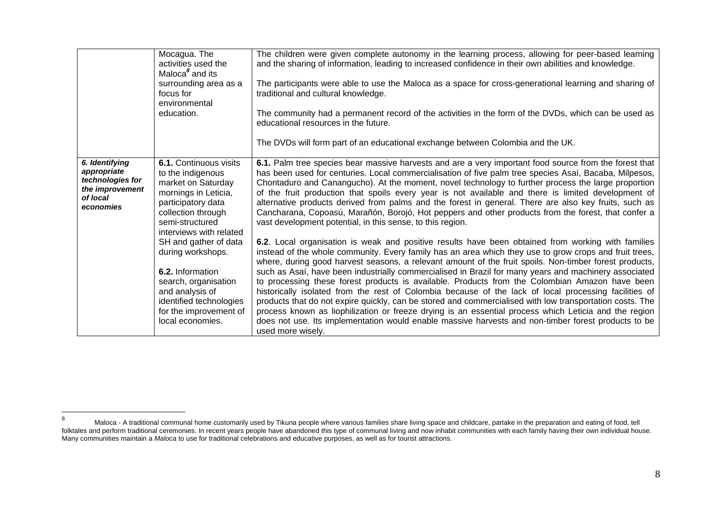|                                                                                               | Mocagua. The<br>activities used the<br>Maloca <sup>8</sup> and its<br>surrounding area as a<br>focus for<br>environmental<br>education.                                             | The children were given complete autonomy in the learning process, allowing for peer-based learning<br>and the sharing of information, leading to increased confidence in their own abilities and knowledge.<br>The participants were able to use the Maloca as a space for cross-generational learning and sharing of<br>traditional and cultural knowledge.<br>The community had a permanent record of the activities in the form of the DVDs, which can be used as<br>educational resources in the future.<br>The DVDs will form part of an educational exchange between Colombia and the UK.                                                                                                                                                                                                                                                                                                                                                                                            |
|-----------------------------------------------------------------------------------------------|-------------------------------------------------------------------------------------------------------------------------------------------------------------------------------------|---------------------------------------------------------------------------------------------------------------------------------------------------------------------------------------------------------------------------------------------------------------------------------------------------------------------------------------------------------------------------------------------------------------------------------------------------------------------------------------------------------------------------------------------------------------------------------------------------------------------------------------------------------------------------------------------------------------------------------------------------------------------------------------------------------------------------------------------------------------------------------------------------------------------------------------------------------------------------------------------|
| 6. Identifying<br>appropriate<br>technologies for<br>the improvement<br>of local<br>economies | 6.1. Continuous visits<br>to the indigenous<br>market on Saturday<br>mornings in Leticia,<br>participatory data<br>collection through<br>semi-structured<br>interviews with related | 6.1. Palm tree species bear massive harvests and are a very important food source from the forest that<br>has been used for centuries. Local commercialisation of five palm tree species Asaí, Bacaba, Milpesos,<br>Chontaduro and Canangucho). At the moment, novel technology to further process the large proportion<br>of the fruit production that spoils every year is not available and there is limited development of<br>alternative products derived from palms and the forest in general. There are also key fruits, such as<br>Cancharana, Copoasú, Marañón, Borojó, Hot peppers and other products from the forest, that confer a<br>vast development potential, in this sense, to this region.                                                                                                                                                                                                                                                                                |
|                                                                                               | SH and gather of data<br>during workshops.<br>6.2. Information<br>search, organisation<br>and analysis of<br>identified technologies<br>for the improvement of<br>local economies.  | 6.2. Local organisation is weak and positive results have been obtained from working with families<br>instead of the whole community. Every family has an area which they use to grow crops and fruit trees,<br>where, during good harvest seasons, a relevant amount of the fruit spoils. Non-timber forest products,<br>such as Asaí, have been industrially commercialised in Brazil for many years and machinery associated<br>to processing these forest products is available. Products from the Colombian Amazon have been<br>historically isolated from the rest of Colombia because of the lack of local processing facilities of<br>products that do not expire quickly, can be stored and commercialised with low transportation costs. The<br>process known as liophilization or freeze drying is an essential process which Leticia and the region<br>does not use. Its implementation would enable massive harvests and non-timber forest products to be<br>used more wisely. |

 $\bf 8$ 8 Maloca - A traditional communal home customarily used by Tikuna people where various families share living space and childcare, partake in the preparation and eating of food, tell folktales and perform traditional ceremonies. In recent years people have abandoned this type of communal living and now inhabit communities with each family having their own individual house. Many communities maintain a *Maloca* to use for traditional celebrations and educative purposes, as well as for tourist attractions.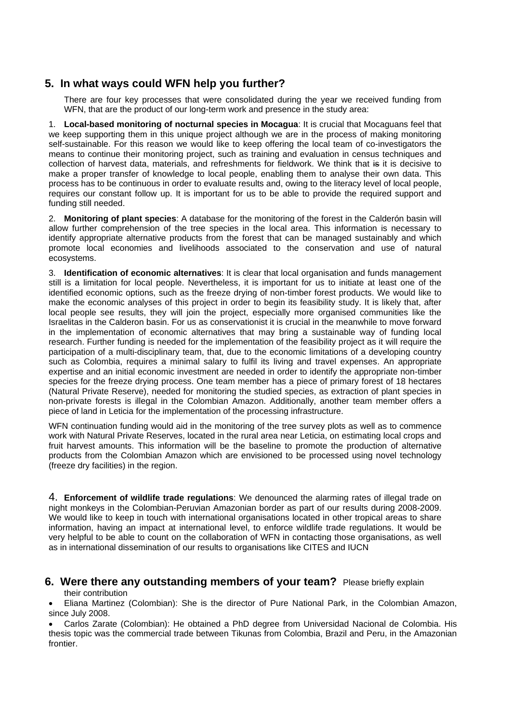### **5. In what ways could WFN help you further?**

There are four key processes that were consolidated during the year we received funding from WFN, that are the product of our long-term work and presence in the study area:

1. **Local-based monitoring of nocturnal species in Mocagua**: It is crucial that Mocaguans feel that we keep supporting them in this unique project although we are in the process of making monitoring self-sustainable. For this reason we would like to keep offering the local team of co-investigators the means to continue their monitoring project, such as training and evaluation in census techniques and collection of harvest data, materials, and refreshments for fieldwork. We think that is it is decisive to make a proper transfer of knowledge to local people, enabling them to analyse their own data. This process has to be continuous in order to evaluate results and, owing to the literacy level of local people, requires our constant follow up. It is important for us to be able to provide the required support and funding still needed.

2. **Monitoring of plant species**: A database for the monitoring of the forest in the Calderón basin will allow further comprehension of the tree species in the local area. This information is necessary to identify appropriate alternative products from the forest that can be managed sustainably and which promote local economies and livelihoods associated to the conservation and use of natural ecosystems.

3. **Identification of economic alternatives**: It is clear that local organisation and funds management still is a limitation for local people. Nevertheless, it is important for us to initiate at least one of the identified economic options, such as the freeze drying of non-timber forest products. We would like to make the economic analyses of this project in order to begin its feasibility study. It is likely that, after local people see results, they will join the project, especially more organised communities like the Israelitas in the Calderon basin. For us as conservationist it is crucial in the meanwhile to move forward in the implementation of economic alternatives that may bring a sustainable way of funding local research. Further funding is needed for the implementation of the feasibility project as it will require the participation of a multi-disciplinary team, that, due to the economic limitations of a developing country such as Colombia, requires a minimal salary to fulfil its living and travel expenses. An appropriate expertise and an initial economic investment are needed in order to identify the appropriate non-timber species for the freeze drying process. One team member has a piece of primary forest of 18 hectares (Natural Private Reserve), needed for monitoring the studied species, as extraction of plant species in non-private forests is illegal in the Colombian Amazon. Additionally, another team member offers a piece of land in Leticia for the implementation of the processing infrastructure.

WFN continuation funding would aid in the monitoring of the tree survey plots as well as to commence work with Natural Private Reserves, located in the rural area near Leticia, on estimating local crops and fruit harvest amounts. This information will be the baseline to promote the production of alternative products from the Colombian Amazon which are envisioned to be processed using novel technology (freeze dry facilities) in the region.

4. **Enforcement of wildlife trade regulations**: We denounced the alarming rates of illegal trade on night monkeys in the Colombian-Peruvian Amazonian border as part of our results during 2008-2009. We would like to keep in touch with international organisations located in other tropical areas to share information, having an impact at international level, to enforce wildlife trade regulations. It would be very helpful to be able to count on the collaboration of WFN in contacting those organisations, as well as in international dissemination of our results to organisations like CITES and IUCN

# **6. Were there any outstanding members of your team?** Please briefly explain

their contribution

 Eliana Martinez (Colombian): She is the director of Pure National Park, in the Colombian Amazon, since July 2008.

 Carlos Zarate (Colombian): He obtained a PhD degree from Universidad Nacional de Colombia. His thesis topic was the commercial trade between Tikunas from Colombia, Brazil and Peru, in the Amazonian frontier.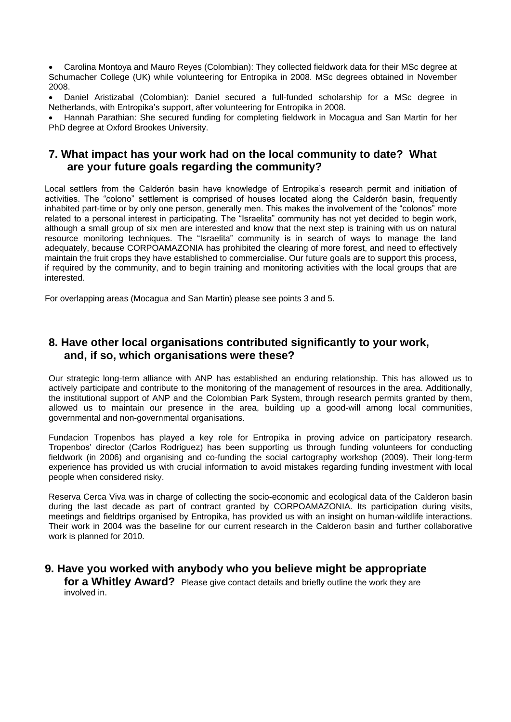Carolina Montoya and Mauro Reyes (Colombian): They collected fieldwork data for their MSc degree at Schumacher College (UK) while volunteering for Entropika in 2008. MSc degrees obtained in November 2008.

 Daniel Aristizabal (Colombian): Daniel secured a full-funded scholarship for a MSc degree in Netherlands, with Entropika's support, after volunteering for Entropika in 2008.

 Hannah Parathian: She secured funding for completing fieldwork in Mocagua and San Martin for her PhD degree at Oxford Brookes University.

### **7. What impact has your work had on the local community to date? What are your future goals regarding the community?**

Local settlers from the Calderón basin have knowledge of Entropika's research permit and initiation of activities. The "colono" settlement is comprised of houses located along the Calderón basin, frequently inhabited part-time or by only one person, generally men. This makes the involvement of the "colonos" more related to a personal interest in participating. The "Israelita" community has not yet decided to begin work, although a small group of six men are interested and know that the next step is training with us on natural resource monitoring techniques. The "Israelita" community is in search of ways to manage the land adequately, because CORPOAMAZONIA has prohibited the clearing of more forest, and need to effectively maintain the fruit crops they have established to commercialise. Our future goals are to support this process, if required by the community, and to begin training and monitoring activities with the local groups that are interested.

For overlapping areas (Mocagua and San Martin) please see points 3 and 5.

### **8. Have other local organisations contributed significantly to your work, and, if so, which organisations were these?**

Our strategic long-term alliance with ANP has established an enduring relationship. This has allowed us to actively participate and contribute to the monitoring of the management of resources in the area. Additionally, the institutional support of ANP and the Colombian Park System, through research permits granted by them, allowed us to maintain our presence in the area, building up a good-will among local communities, governmental and non-governmental organisations.

Fundacion Tropenbos has played a key role for Entropika in proving advice on participatory research. Tropenbos' director (Carlos Rodriguez) has been supporting us through funding volunteers for conducting fieldwork (in 2006) and organising and co-funding the social cartography workshop (2009). Their long-term experience has provided us with crucial information to avoid mistakes regarding funding investment with local people when considered risky.

Reserva Cerca Viva was in charge of collecting the socio-economic and ecological data of the Calderon basin during the last decade as part of contract granted by CORPOAMAZONIA. Its participation during visits, meetings and fieldtrips organised by Entropika, has provided us with an insight on human-wildlife interactions. Their work in 2004 was the baseline for our current research in the Calderon basin and further collaborative work is planned for 2010.

# **9. Have you worked with anybody who you believe might be appropriate**

**for a Whitley Award?** Please give contact details and briefly outline the work they are involved in.